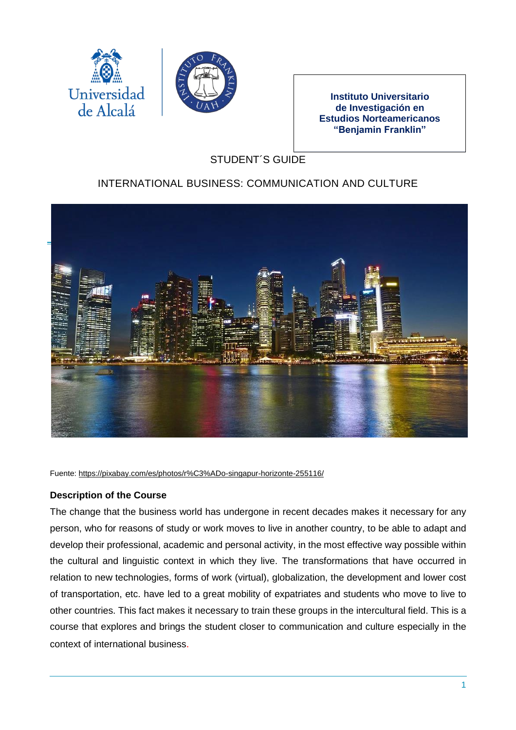



**Instituto Universitario de Investigación en Estudios Norteamericanos "Benjamin Franklin"**

# STUDENT´S GUIDE

# INTERNATIONAL BUSINESS: COMMUNICATION AND CULTURE



Fuente: <https://pixabay.com/es/photos/r%C3%ADo-singapur-horizonte-255116/>

## **Description of the Course**

The change that the business world has undergone in recent decades makes it necessary for any person, who for reasons of study or work moves to live in another country, to be able to adapt and develop their professional, academic and personal activity, in the most effective way possible within the cultural and linguistic context in which they live. The transformations that have occurred in relation to new technologies, forms of work (virtual), globalization, the development and lower cost of transportation, etc. have led to a great mobility of expatriates and students who move to live to other countries. This fact makes it necessary to train these groups in the intercultural field. This is a course that explores and brings the student closer to communication and culture especially in the context of international business.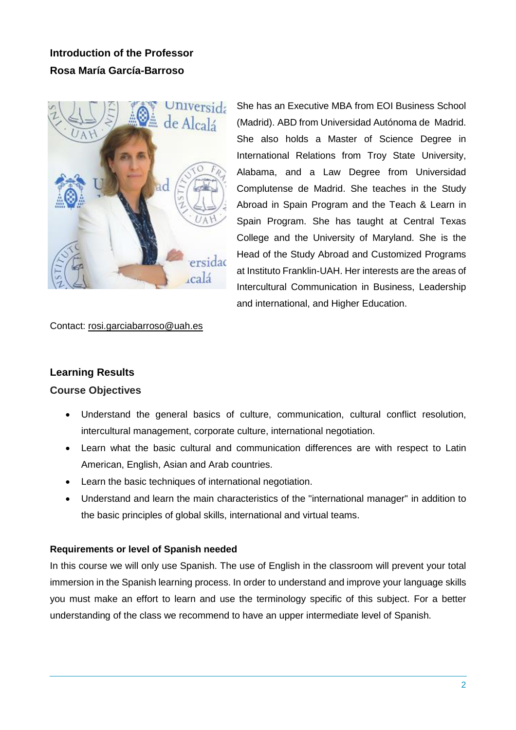# **Introduction of the Professor Rosa María García-Barroso**



She has an Executive MBA from EOI Business School (Madrid). ABD from Universidad Autónoma de Madrid. She also holds a Master of Science Degree in International Relations from Troy State University, Alabama, and a Law Degree from Universidad Complutense de Madrid. She teaches in the Study Abroad in Spain Program and the Teach & Learn in Spain Program. She has taught at Central Texas College and the University of Maryland. She is the Head of the Study Abroad and Customized Programs at Instituto Franklin-UAH. Her interests are the areas of Intercultural Communication in Business, Leadership and international, and Higher Education.

#### Contact: [rosi.garciabarroso@uah.es](mailto:rosi.garciabarroso@uah.es)

## **Learning Results**

#### **Course Objectives**

- Understand the general basics of culture, communication, cultural conflict resolution, intercultural management, corporate culture, international negotiation.
- Learn what the basic cultural and communication differences are with respect to Latin American, English, Asian and Arab countries.
- Learn the basic techniques of international negotiation.
- Understand and learn the main characteristics of the "international manager" in addition to the basic principles of global skills, international and virtual teams.

#### **Requirements or level of Spanish needed**

In this course we will only use Spanish. The use of English in the classroom will prevent your total immersion in the Spanish learning process. In order to understand and improve your language skills you must make an effort to learn and use the terminology specific of this subject. For a better understanding of the class we recommend to have an upper intermediate level of Spanish.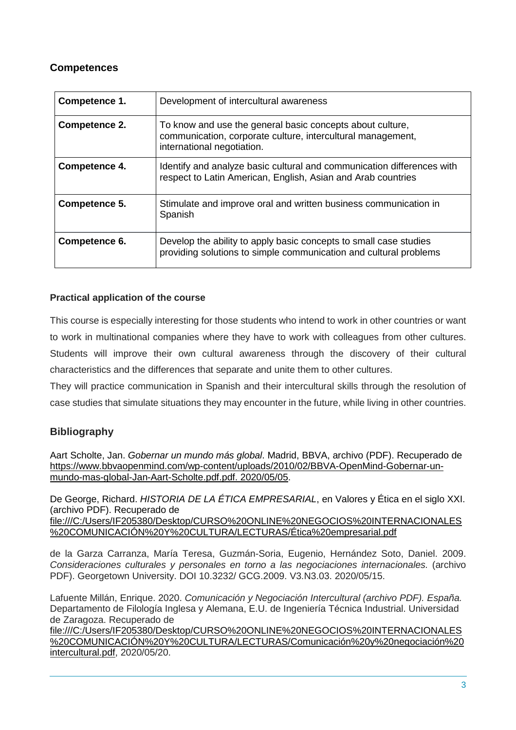## **Competences**

| Competence 1. | Development of intercultural awareness                                                                                                                 |
|---------------|--------------------------------------------------------------------------------------------------------------------------------------------------------|
| Competence 2. | To know and use the general basic concepts about culture,<br>communication, corporate culture, intercultural management,<br>international negotiation. |
| Competence 4. | Identify and analyze basic cultural and communication differences with<br>respect to Latin American, English, Asian and Arab countries                 |
| Competence 5. | Stimulate and improve oral and written business communication in<br>Spanish                                                                            |
| Competence 6. | Develop the ability to apply basic concepts to small case studies<br>providing solutions to simple communication and cultural problems                 |

## **Practical application of the course**

This course is especially interesting for those students who intend to work in other countries or want to work in multinational companies where they have to work with colleagues from other cultures. Students will improve their own cultural awareness through the discovery of their cultural characteristics and the differences that separate and unite them to other cultures.

They will practice communication in Spanish and their intercultural skills through the resolution of case studies that simulate situations they may encounter in the future, while living in other countries.

## **Bibliography**

Aart Scholte, Jan. *Gobernar un mundo más global*. Madrid, BBVA, archivo (PDF). Recuperado de [https://www.bbvaopenmind.com/wp-content/uploads/2010/02/BBVA-OpenMind-Gobernar-un](https://www.bbvaopenmind.com/wp-content/uploads/2010/02/BBVA-OpenMind-Gobernar-un-mundo-mas-global-Jan-Aart-Scholte.pdf.pdf.%202020/05/05)[mundo-mas-global-Jan-Aart-Scholte.pdf.pdf.](https://www.bbvaopenmind.com/wp-content/uploads/2010/02/BBVA-OpenMind-Gobernar-un-mundo-mas-global-Jan-Aart-Scholte.pdf.pdf.%202020/05/05) 2020/05/05.

De George, Richard. *HISTORIA DE LA ÉTICA EMPRESARIAL*, en Valores y Ética en el siglo XXI. (archivo PDF). Recuperado de [file:///C:/Users/IF205380/Desktop/CURSO%20ONLINE%20NEGOCIOS%20INTERNACIONALES](file:///C:/Users/IF205380/Desktop/CURSO%20ONLINE%20NEGOCIOS%20INTERNACIONALES%20COMUNICACIÓN%20Y%20CULTURA/LECTURAS/Ética%20empresarial.pdf) [%20COMUNICACIÓN%20Y%20CULTURA/LECTURAS/Ética%20empresarial.pdf](file:///C:/Users/IF205380/Desktop/CURSO%20ONLINE%20NEGOCIOS%20INTERNACIONALES%20COMUNICACIÓN%20Y%20CULTURA/LECTURAS/Ética%20empresarial.pdf)

de la Garza Carranza, María Teresa, Guzmán-Soria, Eugenio, Hernández Soto, Daniel. 2009. *Consideraciones culturales y personales en torno a las negociaciones internacionales.* (archivo PDF). Georgetown University. DOI 10.3232/ GCG.2009. V3.N3.03. 2020/05/15.

Lafuente Millán, Enrique. 2020. *Comunicación y Negociación Intercultural (archivo PDF). España.* Departamento de Filología Inglesa y Alemana, E.U. de Ingeniería Técnica Industrial. Universidad de Zaragoza. Recuperado de

[file:///C:/Users/IF205380/Desktop/CURSO%20ONLINE%20NEGOCIOS%20INTERNACIONALES](file:///C:/Users/IF205380/Desktop/CURSO%20ONLINE%20NEGOCIOS%20INTERNACIONALES%20COMUNICACIÓN%20Y%20CULTURA/LECTURAS/Comunicación%20y%20negociación%20intercultural.pdf) [%20COMUNICACIÓN%20Y%20CULTURA/LECTURAS/Comunicación%20y%20negociación%20](file:///C:/Users/IF205380/Desktop/CURSO%20ONLINE%20NEGOCIOS%20INTERNACIONALES%20COMUNICACIÓN%20Y%20CULTURA/LECTURAS/Comunicación%20y%20negociación%20intercultural.pdf) [intercultural.pdf,](file:///C:/Users/IF205380/Desktop/CURSO%20ONLINE%20NEGOCIOS%20INTERNACIONALES%20COMUNICACIÓN%20Y%20CULTURA/LECTURAS/Comunicación%20y%20negociación%20intercultural.pdf) 2020/05/20.